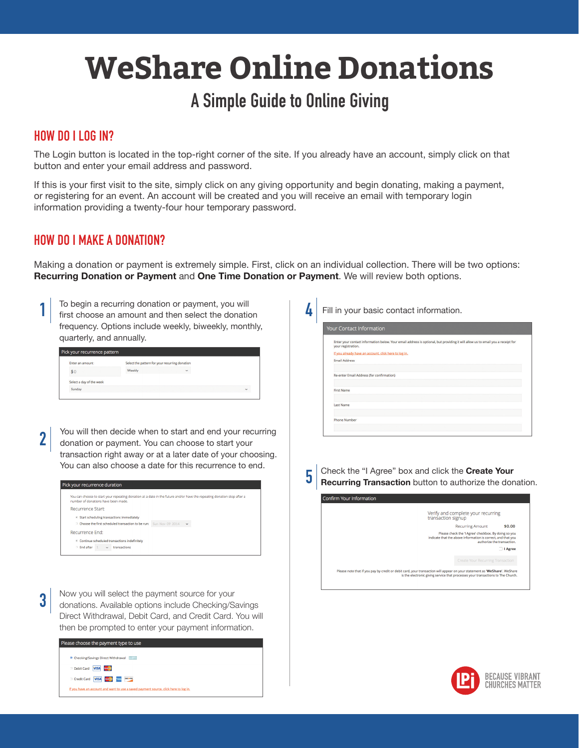# **WeShare Online Donations**

# **A Simple Guide to Online Giving**

#### **HOW DO I LOG IN?**

The Login button is located in the top-right corner of the site. If you already have an account, simply click on that button and enter your email address and password.

If this is your first visit to the site, simply click on any giving opportunity and begin donating, making a payment, or registering for an event. An account will be created and you will receive an email with temporary login information providing a twenty-four hour temporary password.

#### **HOW DO I MAKE A DONATION?**

Making a donation or payment is extremely simple. First, click on an individual collection. There will be two options: **Recurring Donation or Payment** and **One Time Donation or Payment**. We will review both options.

**1** To begin a recurring donation or payment, you will first choose an amount and then select the donation frequency. Options include weekly, biweekly, monthly, quarterly, and annually.

| Enter an amount          | Select the pattern for your recurring donation |   |              |
|--------------------------|------------------------------------------------|---|--------------|
| \$0                      | Weekly                                         | v |              |
| Select a day of the week |                                                |   |              |
| Sunday                   |                                                |   | $\checkmark$ |

You will then decide when to start and end your recurring donation or payment. You can choose to start your transaction right away or at a later date of your choosing. You can also choose a date for this recurrence to end. **2**

| Pick your recurrence duration                                     |                                                                                                                         |
|-------------------------------------------------------------------|-------------------------------------------------------------------------------------------------------------------------|
|                                                                   |                                                                                                                         |
| number of donations have been made.                               | You can choose to start your repeating donation at a date in the future and/or have the repeating donation stop after a |
| Recurrence Start:                                                 |                                                                                                                         |
| > Start scheduling transactions immediately                       |                                                                                                                         |
| Choose the first scheduled transaction to be run: Sun Nov 09 2014 | $\checkmark$                                                                                                            |
| Recurrence End:                                                   |                                                                                                                         |
| >> Continue scheduled transactions indefinitely                   |                                                                                                                         |
| $\supset$ End after<br>transactions<br>$\ddot{\phantom{1}}$       |                                                                                                                         |
|                                                                   |                                                                                                                         |

Now you will select the payment source for your donations. Available options include Checking/Savings Direct Withdrawal, Debit Card, and Credit Card. You will then be prompted to enter your payment information. **3**

| Please choose the payment type to use                                                |
|--------------------------------------------------------------------------------------|
| <b>D</b> Checking/Savings Direct Withdrawal<br><b>Barb</b>                           |
| Debit Card<br><b>VISA</b><br><b>Macketing</b>                                        |
| <b>VISA Designal</b> DISCOVER<br>Credit Card                                         |
| If you have an account and want to use a saved payment source, click here to log in. |
|                                                                                      |

**4** Fill in your basic contact information.

| your registration.   | Enter your contact information below. Your email address is optional, but providing it will allow us to email you a receipt for |
|----------------------|---------------------------------------------------------------------------------------------------------------------------------|
|                      | If you already have an account, click here to log in.                                                                           |
| <b>Email Address</b> |                                                                                                                                 |
|                      |                                                                                                                                 |
|                      | Re-enter Email Address (for confirmation)                                                                                       |
|                      |                                                                                                                                 |
| <b>First Name</b>    |                                                                                                                                 |
|                      |                                                                                                                                 |
| <b>Last Name</b>     |                                                                                                                                 |
|                      |                                                                                                                                 |

**5 Check the "I Agree" box and click the Create Your <b>Recurring Transaction** button to authorize the donation.



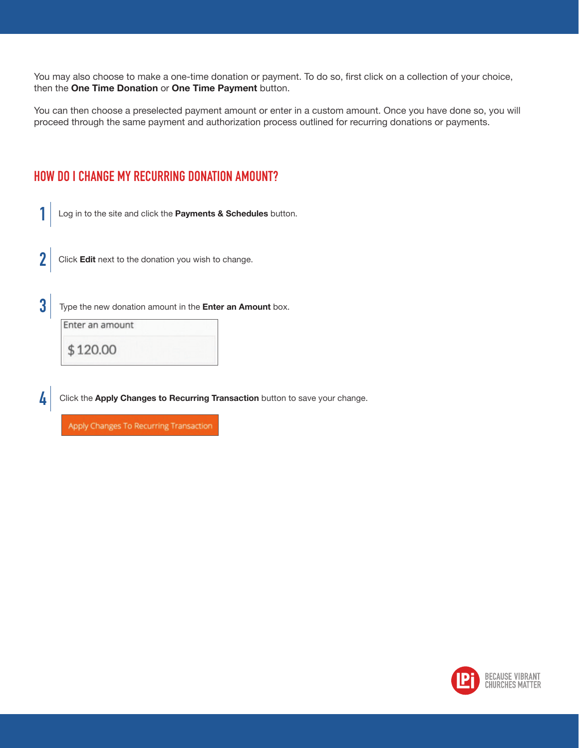You may also choose to make a one-time donation or payment. To do so, first click on a collection of your choice, then the **One Time Donation** or **One Time Payment** button.

You can then choose a preselected payment amount or enter in a custom amount. Once you have done so, you will proceed through the same payment and authorization process outlined for recurring donations or payments.

#### **HOW DO I CHANGE MY RECURRING DONATION AMOUNT?**

**1** Log in to the site and click the **Payments & Schedules** button.

- **2** Click **Edit** next to the donation you wish to change.
- **3** Type the new donation amount in the **Enter an Amount** box.

Enter an amount

\$120.00

**4** Click the Apply Changes to Recurring Transaction button to save your change.

Apply Changes To Recurring Transaction